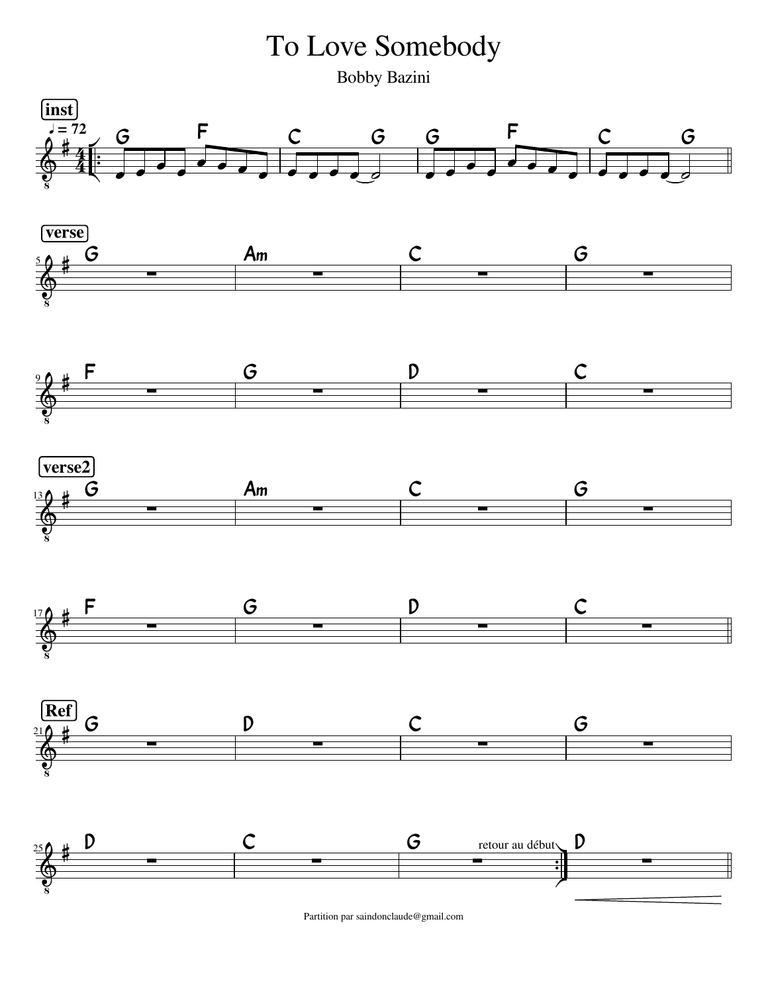To Love Somebody

Bobby Bazini



Partition par saindonclaude@gmail.com